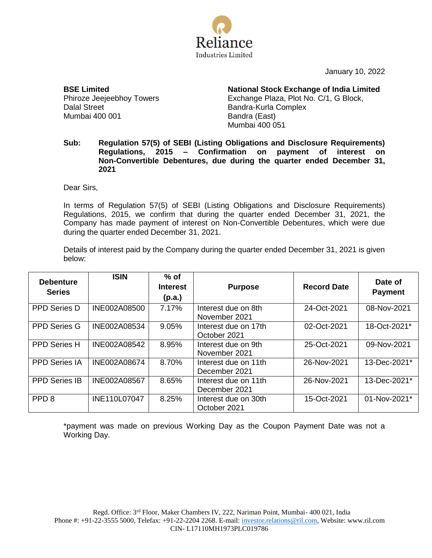

January 10, 2022

**BSE Limited** Phiroze Jeejeebhoy Towers Dalal Street Mumbai 400 001

**National Stock Exchange of India Limited** Exchange Plaza, Plot No. C/1, G Block, Bandra-Kurla Complex Bandra (East) Mumbai 400 051

## **Sub: Regulation 57(5) of SEBI (Listing Obligations and Disclosure Requirements) Regulations, 2015 – Confirmation on payment of interest on Non-Convertible Debentures, due during the quarter ended December 31, 2021**

Dear Sirs,

In terms of Regulation 57(5) of SEBI (Listing Obligations and Disclosure Requirements) Regulations, 2015, we confirm that during the quarter ended December 31, 2021, the Company has made payment of interest on Non-Convertible Debentures, which were due during the quarter ended December 31, 2021.

Details of interest paid by the Company during the quarter ended December 31, 2021 is given below:

| <b>Debenture</b><br><b>Series</b> | <b>ISIN</b>  | $%$ of<br><b>Interest</b><br>(p.a.) | <b>Purpose</b>                        | <b>Record Date</b> | Date of<br><b>Payment</b> |
|-----------------------------------|--------------|-------------------------------------|---------------------------------------|--------------------|---------------------------|
| <b>PPD Series D</b>               | INE002A08500 | 7.17%                               | Interest due on 8th<br>November 2021  | 24-Oct-2021        | 08-Nov-2021               |
| <b>PPD Series G</b>               | INE002A08534 | 9.05%                               | Interest due on 17th<br>October 2021  | 02-Oct-2021        | 18-Oct-2021*              |
| <b>PPD Series H</b>               | INE002A08542 | 8.95%                               | Interest due on 9th<br>November 2021  | 25-Oct-2021        | 09-Nov-2021               |
| <b>PPD Series IA</b>              | INE002A08674 | 8.70%                               | Interest due on 11th<br>December 2021 | 26-Nov-2021        | 13-Dec-2021*              |
| <b>PPD Series IB</b>              | INE002A08567 | 8.65%                               | Interest due on 11th<br>December 2021 | 26-Nov-2021        | 13-Dec-2021*              |
| PPD <sub>8</sub>                  | INE110L07047 | 8.25%                               | Interest due on 30th<br>October 2021  | 15-Oct-2021        | 01-Nov-2021*              |

\*payment was made on previous Working Day as the Coupon Payment Date was not a Working Day.